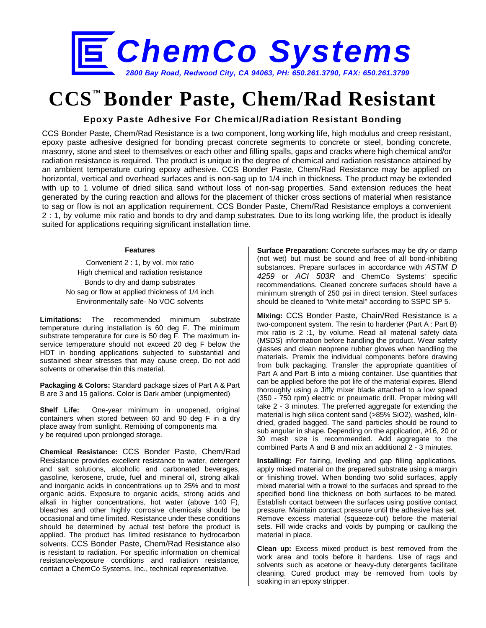

# **CCS™ Bonder Paste, Chem/Rad Resistant**

## **Epoxy Paste Adhesive For Chemical/Radiation Resistant Bonding**

CCS Bonder Paste, Chem/Rad Resistance is a two component, long working life, high modulus and creep resistant, epoxy paste adhesive designed for bonding precast concrete segments to concrete or steel, bonding concrete, masonry, stone and steel to themselves or each other and filling spalls, gaps and cracks where high chemical and/or radiation resistance is required. The product is unique in the degree of chemical and radiation resistance attained by an ambient temperature curing epoxy adhesive. CCS Bonder Paste, Chem/Rad Resistance may be applied on horizontal, vertical and overhead surfaces and is non-sag up to 1/4 inch in thickness. The product may be extended with up to 1 volume of dried silica sand without loss of non-sag properties. Sand extension reduces the heat generated by the curing reaction and allows for the placement of thicker cross sections of material when resistance to sag or flow is not an application requirement, CCS Bonder Paste, Chem/Rad Resistance employs a convenient 2 : 1, by volume mix ratio and bonds to dry and damp substrates. Due to its long working life, the product is ideally suited for applications requiring significant installation time.

#### **Features**

Convenient 2 : 1, by vol. mix ratio High chemical and radiation resistance Bonds to dry and damp substrates No sag or flow at applied thickness of 1/4 inch Environmentally safe- No VOC solvents

**Limitations:** The recommended minimum substrate temperature during installation is 60 deg F. The minimum substrate temperature for cure is 50 deg F. The maximum inservice temperature should not exceed 20 deg F below the HDT in bonding applications subjected to substantial and sustained shear stresses that may cause creep. Do not add solvents or otherwise thin this material.

**Packaging & Colors:** Standard package sizes of Part A & Part B are 3 and 15 gallons. Color is Dark amber (unpigmented)

**Shelf Life:** One-year minimum in unopened, original containers when stored between 60 and 90 deg F in a dry place away from sunlight. Remixing of components ma y be required upon prolonged storage.

**Chemical Resistance:** CCS Bonder Paste, Chem/Rad Resistance provides excellent resistance to water, detergent and salt solutions, alcoholic and carbonated beverages, gasoline, kerosene, crude, fuel and mineral oil, strong alkali and inorganic acids in concentrations up to 25% and to most organic acids. Exposure to organic acids, strong acids and alkali in higher concentrations, hot water (above 140 F), bleaches and other highly corrosive chemicals should be occasional and time limited. Resistance under these conditions should be determined by actual test before the product is applied. The product has limited resistance to hydrocarbon solvents. CCS Bonder Paste, Chem/Rad Resistance also is resistant to radiation. For specific information on chemical resistance/exposure conditions and radiation resistance, contact a ChemCo Systems, Inc., technical representative.

**Surface Preparation:** Concrete surfaces may be dry or damp (not wet) but must be sound and free of all bond-inhibiting substances. Prepare surfaces in accordance with *ASTM D 4259* or *ACI 503R* and ChemCo Systems' specific recommendations. Cleaned concrete surfaces should have a minimum strength of 250 psi in direct tension. Steel surfaces should be cleaned to "white metal" according to SSPC SP 5.

**Mixing:** CCS Bonder Paste, Chain/Red Resistance is a two-component system. The resin to hardener (Part A : Part B) mix ratio is 2 :1, by volume. Read all material safety data (MSDS) information before handling the product. Wear safety glasses and clean neoprene rubber gloves when handling the materials. Premix the individual components before drawing from bulk packaging. Transfer the appropriate quantities of Part A and Part B into a mixing container. Use quantities that can be applied before the pot life of the material expires. Blend thoroughly using a Jiffy mixer blade attached to a low speed (350 - 750 rpm) electric or pneumatic drill. Proper mixing will take 2 - 3 minutes. The preferred aggregate for extending the material is high silica content sand (>85% SiO2), washed, kilndried, graded bagged. The sand particles should be round to sub angular in shape. Depending on the application, #16, 20 or 30 mesh size is recommended. Add aggregate to the combined Parts A and B and mix an additional 2 - 3 minutes.

**Installing:** For fairing, leveling and gap filling applications, apply mixed material on the prepared substrate using a margin or finishing trowel. When bonding two solid surfaces, apply mixed material with a trowel to the surfaces and spread to the specified bond line thickness on both surfaces to be mated. Establish contact between the surfaces using positive contact pressure. Maintain contact pressure until the adhesive has set. Remove excess material (squeeze-out) before the material sets. Fill wide cracks and voids by pumping or caulking the material in place.

**Clean up:** Excess mixed product is best removed from the work area and tools before it hardens. Use of rags and solvents such as acetone or heavy-duty detergents facilitate cleaning. Cured product may be removed from tools by soaking in an epoxy stripper.